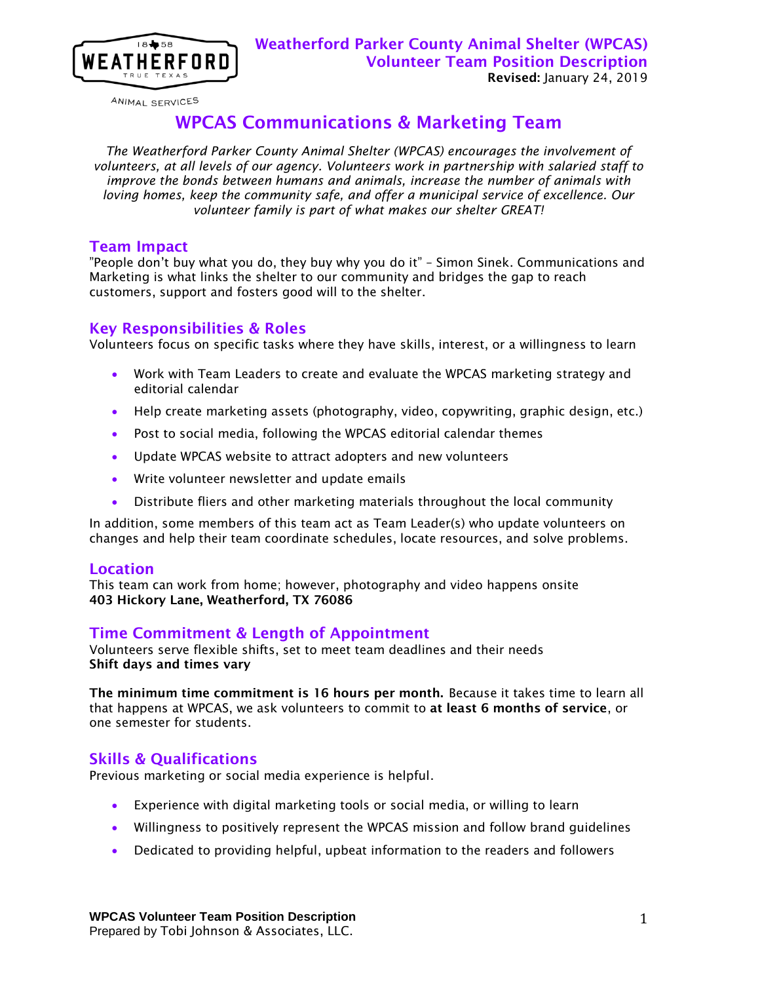

ANIMAL SERVICES

# WPCAS Communications & Marketing Team

*The Weatherford Parker County Animal Shelter (WPCAS) encourages the involvement of volunteers, at all levels of our agency. Volunteers work in partnership with salaried staff to improve the bonds between humans and animals, increase the number of animals with loving homes, keep the community safe, and offer a municipal service of excellence. Our volunteer family is part of what makes our shelter GREAT!*

#### Team Impact

"People don't buy what you do, they buy why you do it" – Simon Sinek. Communications and Marketing is what links the shelter to our community and bridges the gap to reach customers, support and fosters good will to the shelter.

#### Key Responsibilities & Roles

Volunteers focus on specific tasks where they have skills, interest, or a willingness to learn

- Work with Team Leaders to create and evaluate the WPCAS marketing strategy and editorial calendar
- Help create marketing assets (photography, video, copywriting, graphic design, etc.)
- Post to social media, following the WPCAS editorial calendar themes
- Update WPCAS website to attract adopters and new volunteers
- Write volunteer newsletter and update emails
- Distribute fliers and other marketing materials throughout the local community

In addition, some members of this team act as Team Leader(s) who update volunteers on changes and help their team coordinate schedules, locate resources, and solve problems.

## Location

This team can work from home; however, photography and video happens onsite 403 Hickory Lane, Weatherford, TX 76086

# Time Commitment & Length of Appointment

Volunteers serve flexible shifts, set to meet team deadlines and their needs Shift days and times vary

The minimum time commitment is 16 hours per month. Because it takes time to learn all that happens at WPCAS, we ask volunteers to commit to at least 6 months of service, or one semester for students.

## Skills & Qualifications

Previous marketing or social media experience is helpful.

- Experience with digital marketing tools or social media, or willing to learn
- Willingness to positively represent the WPCAS mission and follow brand guidelines
- Dedicated to providing helpful, upbeat information to the readers and followers